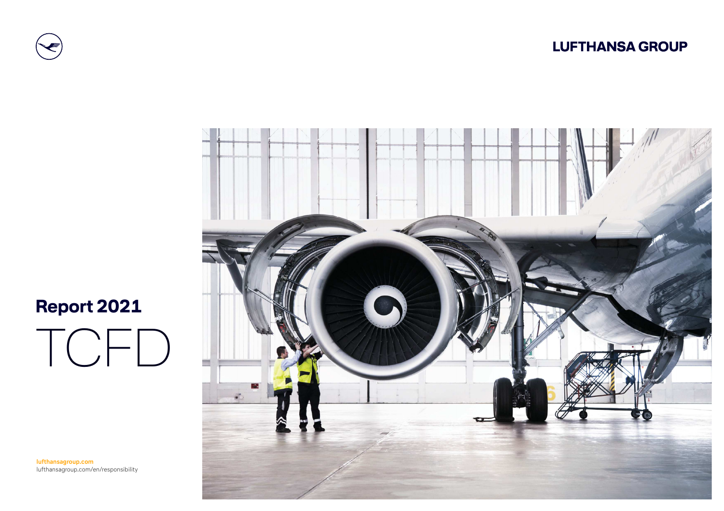



# **Report 2021**

TCFD

**lufthansagroup.com**lufthansagroup.com/en/responsibility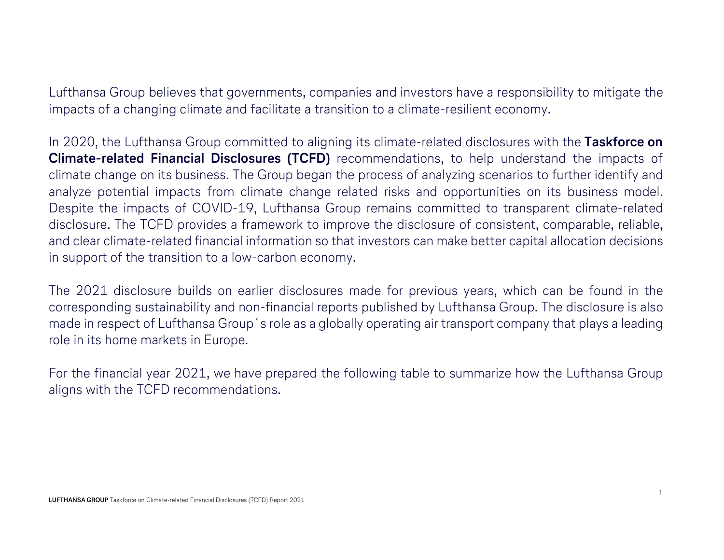Lufthansa Group believes that governments, companies and investors have a responsibility to mitigate the impacts of a changing climate and facilitate a transition to a climate-resilient economy.

In 2020, the Lufthansa Group committed to aligning its climate-related disclosures with the Taskforce on Climate-related Financial Disclosures (TCFD) recommendations, to help understand the impacts of climate change on its business. The Group began the process of analyzing scenarios to further identify and analyze potential impacts from climate change related risks and opportunities on its business model. Despite the impacts of COVID-19, Lufthansa Group remains committed to transparent climate-related disclosure. The TCFD provides a framework to improve the disclosure of consistent, comparable, reliable, and clear climate-related financial information so that investors can make better capital allocation decisions in support of the transition to a low-carbon economy.

The 2021 disclosure builds on earlier disclosures made for previous years, which can be found in the corresponding sustainability and non-financial reports published by Lufthansa Group. The disclosure is also made in respect of Lufthansa Group´s role as a globally operating air transport company that plays a leading role in its home markets in Europe.

For the financial year 2021, we have prepared the following table to summarize how the Lufthansa Group aligns with the TCFD recommendations.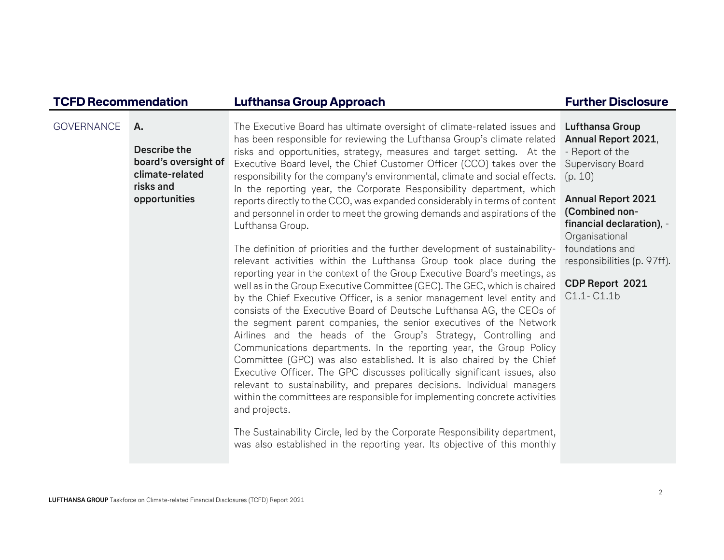| <b>TCFD Recommendation</b> |                                                                                             | Lufthansa Group Approach                                                                                                                                                                                                                                                                                                                                                                                                                                                                                                                                                                                                                                                                                                                                                                                                                                                                                                                                                                                                                                                                                                                                                                                                                                                                                                                                                                                                                                                                                                                                                                                                                                                                                                                                                                                                        | <b>Further Disclosure</b>                                                                                                                                                                                                                                                             |
|----------------------------|---------------------------------------------------------------------------------------------|---------------------------------------------------------------------------------------------------------------------------------------------------------------------------------------------------------------------------------------------------------------------------------------------------------------------------------------------------------------------------------------------------------------------------------------------------------------------------------------------------------------------------------------------------------------------------------------------------------------------------------------------------------------------------------------------------------------------------------------------------------------------------------------------------------------------------------------------------------------------------------------------------------------------------------------------------------------------------------------------------------------------------------------------------------------------------------------------------------------------------------------------------------------------------------------------------------------------------------------------------------------------------------------------------------------------------------------------------------------------------------------------------------------------------------------------------------------------------------------------------------------------------------------------------------------------------------------------------------------------------------------------------------------------------------------------------------------------------------------------------------------------------------------------------------------------------------|---------------------------------------------------------------------------------------------------------------------------------------------------------------------------------------------------------------------------------------------------------------------------------------|
| <b>GOVERNANCE</b>          | Α.<br>Describe the<br>board's oversight of<br>climate-related<br>risks and<br>opportunities | The Executive Board has ultimate oversight of climate-related issues and<br>has been responsible for reviewing the Lufthansa Group's climate related<br>risks and opportunities, strategy, measures and target setting. At the<br>Executive Board level, the Chief Customer Officer (CCO) takes over the<br>responsibility for the company's environmental, climate and social effects.<br>In the reporting year, the Corporate Responsibility department, which<br>reports directly to the CCO, was expanded considerably in terms of content<br>and personnel in order to meet the growing demands and aspirations of the<br>Lufthansa Group.<br>The definition of priorities and the further development of sustainability-<br>relevant activities within the Lufthansa Group took place during the<br>reporting year in the context of the Group Executive Board's meetings, as<br>well as in the Group Executive Committee (GEC). The GEC, which is chaired<br>by the Chief Executive Officer, is a senior management level entity and<br>consists of the Executive Board of Deutsche Lufthansa AG, the CEOs of<br>the segment parent companies, the senior executives of the Network<br>Airlines and the heads of the Group's Strategy, Controlling and<br>Communications departments. In the reporting year, the Group Policy<br>Committee (GPC) was also established. It is also chaired by the Chief<br>Executive Officer. The GPC discusses politically significant issues, also<br>relevant to sustainability, and prepares decisions. Individual managers<br>within the committees are responsible for implementing concrete activities<br>and projects.<br>The Sustainability Circle, led by the Corporate Responsibility department,<br>was also established in the reporting year. Its objective of this monthly | <b>Lufthansa Group</b><br>Annual Report 2021,<br>- Report of the<br>Supervisory Board<br>(p. 10)<br><b>Annual Report 2021</b><br>(Combined non-<br>financial declaration), -<br>Organisational<br>foundations and<br>responsibilities (p. 97ff).<br>CDP Report 2021<br>$C1.1 - C1.1b$ |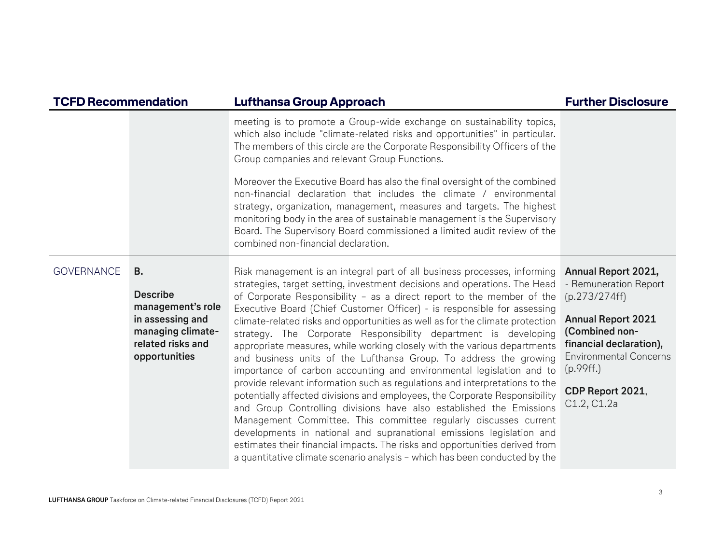| <b>TCFD Recommendation</b> |                                                                                                                                  | <b>Lufthansa Group Approach</b>                                                                                                                                                                                                                                                                                                                                                                                                                                                                                                                                                                                                                                                                                                                                                                                                                                                                                                                                                                                                                                                                                                                                                                                                     | <b>Further Disclosure</b>                                                                                                                                                                                                |
|----------------------------|----------------------------------------------------------------------------------------------------------------------------------|-------------------------------------------------------------------------------------------------------------------------------------------------------------------------------------------------------------------------------------------------------------------------------------------------------------------------------------------------------------------------------------------------------------------------------------------------------------------------------------------------------------------------------------------------------------------------------------------------------------------------------------------------------------------------------------------------------------------------------------------------------------------------------------------------------------------------------------------------------------------------------------------------------------------------------------------------------------------------------------------------------------------------------------------------------------------------------------------------------------------------------------------------------------------------------------------------------------------------------------|--------------------------------------------------------------------------------------------------------------------------------------------------------------------------------------------------------------------------|
|                            |                                                                                                                                  | meeting is to promote a Group-wide exchange on sustainability topics,<br>which also include "climate-related risks and opportunities" in particular.<br>The members of this circle are the Corporate Responsibility Officers of the<br>Group companies and relevant Group Functions.<br>Moreover the Executive Board has also the final oversight of the combined<br>non-financial declaration that includes the climate / environmental<br>strategy, organization, management, measures and targets. The highest<br>monitoring body in the area of sustainable management is the Supervisory<br>Board. The Supervisory Board commissioned a limited audit review of the<br>combined non-financial declaration.                                                                                                                                                                                                                                                                                                                                                                                                                                                                                                                     |                                                                                                                                                                                                                          |
| <b>GOVERNANCE</b>          | <b>B.</b><br><b>Describe</b><br>management's role<br>in assessing and<br>managing climate-<br>related risks and<br>opportunities | Risk management is an integral part of all business processes, informing<br>strategies, target setting, investment decisions and operations. The Head<br>of Corporate Responsibility - as a direct report to the member of the<br>Executive Board (Chief Customer Officer) - is responsible for assessing<br>climate-related risks and opportunities as well as for the climate protection<br>strategy. The Corporate Responsibility department is developing<br>appropriate measures, while working closely with the various departments<br>and business units of the Lufthansa Group. To address the growing<br>importance of carbon accounting and environmental legislation and to<br>provide relevant information such as regulations and interpretations to the<br>potentially affected divisions and employees, the Corporate Responsibility<br>and Group Controlling divisions have also established the Emissions<br>Management Committee. This committee regularly discusses current<br>developments in national and supranational emissions legislation and<br>estimates their financial impacts. The risks and opportunities derived from<br>a quantitative climate scenario analysis - which has been conducted by the | Annual Report 2021,<br>- Remuneration Report<br>(p.273/274ff)<br><b>Annual Report 2021</b><br>(Combined non-<br>financial declaration),<br><b>Environmental Concerns</b><br>(p.99ff.)<br>CDP Report 2021,<br>C1.2, C1.2a |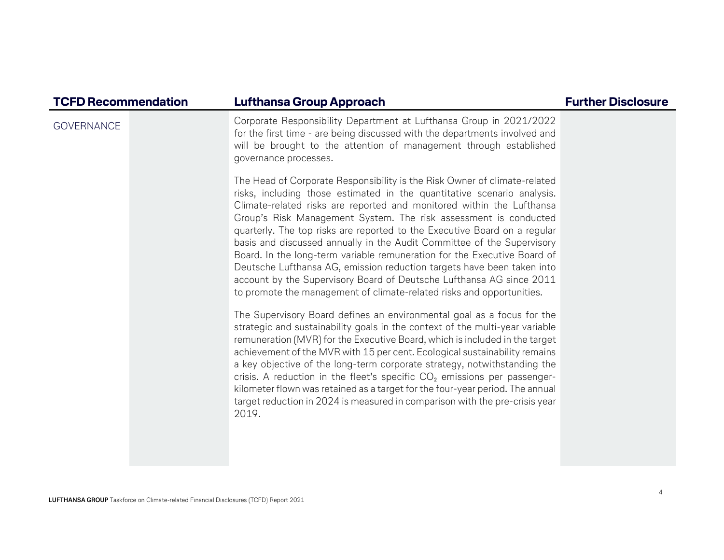| <b>TCFD Recommendation</b> | <b>Lufthansa Group Approach</b>                                                                                                                                                                                                                                                                                                                                                                                                                                                                                                                                                                                                                                                                                                                                 | <b>Further Disclosure</b> |
|----------------------------|-----------------------------------------------------------------------------------------------------------------------------------------------------------------------------------------------------------------------------------------------------------------------------------------------------------------------------------------------------------------------------------------------------------------------------------------------------------------------------------------------------------------------------------------------------------------------------------------------------------------------------------------------------------------------------------------------------------------------------------------------------------------|---------------------------|
| <b>GOVERNANCE</b>          | Corporate Responsibility Department at Lufthansa Group in 2021/2022<br>for the first time - are being discussed with the departments involved and<br>will be brought to the attention of management through established<br>governance processes.                                                                                                                                                                                                                                                                                                                                                                                                                                                                                                                |                           |
|                            | The Head of Corporate Responsibility is the Risk Owner of climate-related<br>risks, including those estimated in the quantitative scenario analysis.<br>Climate-related risks are reported and monitored within the Lufthansa<br>Group's Risk Management System. The risk assessment is conducted<br>quarterly. The top risks are reported to the Executive Board on a regular<br>basis and discussed annually in the Audit Committee of the Supervisory<br>Board. In the long-term variable remuneration for the Executive Board of<br>Deutsche Lufthansa AG, emission reduction targets have been taken into<br>account by the Supervisory Board of Deutsche Lufthansa AG since 2011<br>to promote the management of climate-related risks and opportunities. |                           |
|                            | The Supervisory Board defines an environmental goal as a focus for the<br>strategic and sustainability goals in the context of the multi-year variable<br>remuneration (MVR) for the Executive Board, which is included in the target<br>achievement of the MVR with 15 per cent. Ecological sustainability remains<br>a key objective of the long-term corporate strategy, notwithstanding the<br>crisis. A reduction in the fleet's specific $CO2$ emissions per passenger-<br>kilometer flown was retained as a target for the four-year period. The annual<br>target reduction in 2024 is measured in comparison with the pre-crisis year<br>2019.                                                                                                          |                           |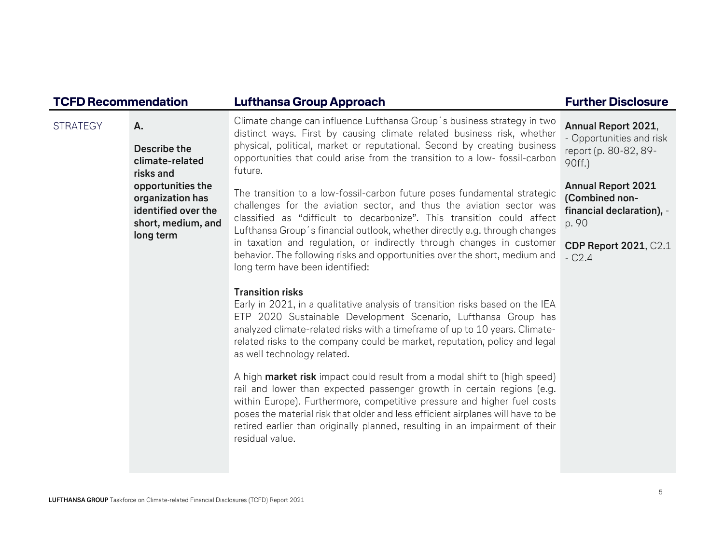| <b>TCFD Recommendation</b> |                                                                                                 | Lufthansa Group Approach                                                                                                                                                                                                                                                                                                                                                                                             | <b>Further Disclosure</b>                                                          |
|----------------------------|-------------------------------------------------------------------------------------------------|----------------------------------------------------------------------------------------------------------------------------------------------------------------------------------------------------------------------------------------------------------------------------------------------------------------------------------------------------------------------------------------------------------------------|------------------------------------------------------------------------------------|
| <b>STRATEGY</b>            | Α.<br>Describe the<br>climate-related<br>risks and                                              | Climate change can influence Lufthansa Group's business strategy in two<br>distinct ways. First by causing climate related business risk, whether<br>physical, political, market or reputational. Second by creating business<br>opportunities that could arise from the transition to a low- fossil-carbon<br>future.                                                                                               | Annual Report 2021,<br>- Opportunities and risk<br>report (p. 80-82, 89-<br>90ff.) |
|                            | opportunities the<br>organization has<br>identified over the<br>short, medium, and<br>long term | The transition to a low-fossil-carbon future poses fundamental strategic<br>challenges for the aviation sector, and thus the aviation sector was<br>classified as "difficult to decarbonize". This transition could affect<br>Lufthansa Group's financial outlook, whether directly e.g. through changes                                                                                                             | <b>Annual Report 2021</b><br>(Combined non-<br>financial declaration), -<br>p. 90  |
|                            |                                                                                                 | in taxation and regulation, or indirectly through changes in customer<br>behavior. The following risks and opportunities over the short, medium and<br>long term have been identified:                                                                                                                                                                                                                               | <b>CDP Report 2021, C2.1</b><br>$-C2.4$                                            |
|                            |                                                                                                 | <b>Transition risks</b><br>Early in 2021, in a qualitative analysis of transition risks based on the IEA<br>ETP 2020 Sustainable Development Scenario, Lufthansa Group has<br>analyzed climate-related risks with a timeframe of up to 10 years. Climate-<br>related risks to the company could be market, reputation, policy and legal<br>as well technology related.                                               |                                                                                    |
|                            |                                                                                                 | A high market risk impact could result from a modal shift to (high speed)<br>rail and lower than expected passenger growth in certain regions (e.g.<br>within Europe). Furthermore, competitive pressure and higher fuel costs<br>poses the material risk that older and less efficient airplanes will have to be<br>retired earlier than originally planned, resulting in an impairment of their<br>residual value. |                                                                                    |
|                            |                                                                                                 |                                                                                                                                                                                                                                                                                                                                                                                                                      |                                                                                    |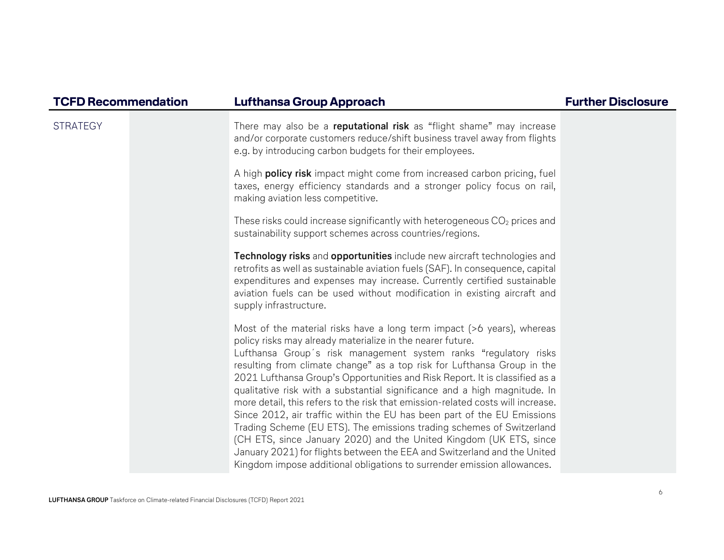| <b>TCFD Recommendation</b> | Lufthansa Group Approach                                                                                                                                                                                                                                                                                                                                                                                                                                                                                                                                                                                                                                                                                                                                                                                                                                                                                            | <b>Further Disclosure</b> |
|----------------------------|---------------------------------------------------------------------------------------------------------------------------------------------------------------------------------------------------------------------------------------------------------------------------------------------------------------------------------------------------------------------------------------------------------------------------------------------------------------------------------------------------------------------------------------------------------------------------------------------------------------------------------------------------------------------------------------------------------------------------------------------------------------------------------------------------------------------------------------------------------------------------------------------------------------------|---------------------------|
| <b>STRATEGY</b>            | There may also be a reputational risk as "flight shame" may increase<br>and/or corporate customers reduce/shift business travel away from flights<br>e.g. by introducing carbon budgets for their employees.                                                                                                                                                                                                                                                                                                                                                                                                                                                                                                                                                                                                                                                                                                        |                           |
|                            | A high <b>policy risk</b> impact might come from increased carbon pricing, fuel<br>taxes, energy efficiency standards and a stronger policy focus on rail,<br>making aviation less competitive.                                                                                                                                                                                                                                                                                                                                                                                                                                                                                                                                                                                                                                                                                                                     |                           |
|                            | These risks could increase significantly with heterogeneous CO <sub>2</sub> prices and<br>sustainability support schemes across countries/regions.                                                                                                                                                                                                                                                                                                                                                                                                                                                                                                                                                                                                                                                                                                                                                                  |                           |
|                            | Technology risks and opportunities include new aircraft technologies and<br>retrofits as well as sustainable aviation fuels (SAF). In consequence, capital<br>expenditures and expenses may increase. Currently certified sustainable<br>aviation fuels can be used without modification in existing aircraft and<br>supply infrastructure.                                                                                                                                                                                                                                                                                                                                                                                                                                                                                                                                                                         |                           |
|                            | Most of the material risks have a long term impact (>6 years), whereas<br>policy risks may already materialize in the nearer future.<br>Lufthansa Group's risk management system ranks "regulatory risks<br>resulting from climate change" as a top risk for Lufthansa Group in the<br>2021 Lufthansa Group's Opportunities and Risk Report. It is classified as a<br>qualitative risk with a substantial significance and a high magnitude. In<br>more detail, this refers to the risk that emission-related costs will increase.<br>Since 2012, air traffic within the EU has been part of the EU Emissions<br>Trading Scheme (EU ETS). The emissions trading schemes of Switzerland<br>(CH ETS, since January 2020) and the United Kingdom (UK ETS, since<br>January 2021) for flights between the EEA and Switzerland and the United<br>Kingdom impose additional obligations to surrender emission allowances. |                           |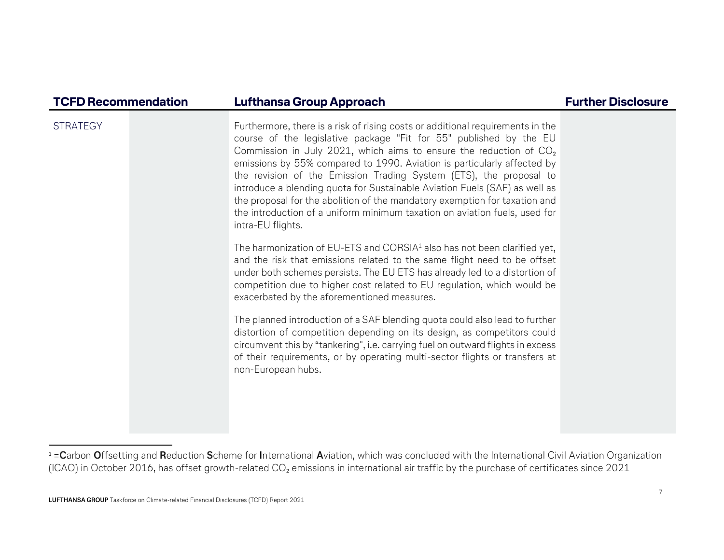| <b>TCFD Recommendation</b> | <b>Lufthansa Group Approach</b>                                                                                                                                                                                                                                                                                                                                                                                                                                                                                                                                                                                                              | <b>Further Disclosure</b> |
|----------------------------|----------------------------------------------------------------------------------------------------------------------------------------------------------------------------------------------------------------------------------------------------------------------------------------------------------------------------------------------------------------------------------------------------------------------------------------------------------------------------------------------------------------------------------------------------------------------------------------------------------------------------------------------|---------------------------|
| <b>STRATEGY</b>            | Furthermore, there is a risk of rising costs or additional requirements in the<br>course of the legislative package "Fit for 55" published by the EU<br>Commission in July 2021, which aims to ensure the reduction of $CO2$<br>emissions by 55% compared to 1990. Aviation is particularly affected by<br>the revision of the Emission Trading System (ETS), the proposal to<br>introduce a blending quota for Sustainable Aviation Fuels (SAF) as well as<br>the proposal for the abolition of the mandatory exemption for taxation and<br>the introduction of a uniform minimum taxation on aviation fuels, used for<br>intra-EU flights. |                           |
|                            | The harmonization of EU-ETS and CORSIA <sup>1</sup> also has not been clarified yet,<br>and the risk that emissions related to the same flight need to be offset<br>under both schemes persists. The EU ETS has already led to a distortion of<br>competition due to higher cost related to EU regulation, which would be<br>exacerbated by the aforementioned measures.                                                                                                                                                                                                                                                                     |                           |
|                            | The planned introduction of a SAF blending quota could also lead to further<br>distortion of competition depending on its design, as competitors could<br>circumvent this by "tankering", i.e. carrying fuel on outward flights in excess<br>of their requirements, or by operating multi-sector flights or transfers at<br>non-European hubs.                                                                                                                                                                                                                                                                                               |                           |
|                            |                                                                                                                                                                                                                                                                                                                                                                                                                                                                                                                                                                                                                                              |                           |

 $^{\texttt{1}}$ = $\sf{C}$ arbon  $\sf{O}$ ffsetting and  $\sf{Reduction}$  Scheme for International  $\sf{A}$ viation, which was concluded with the International Civil Aviation Organization (ICAO) in October 2016, has offset growth-related CO<sub>2</sub> emissions in international air traffic by the purchase of certificates since 2021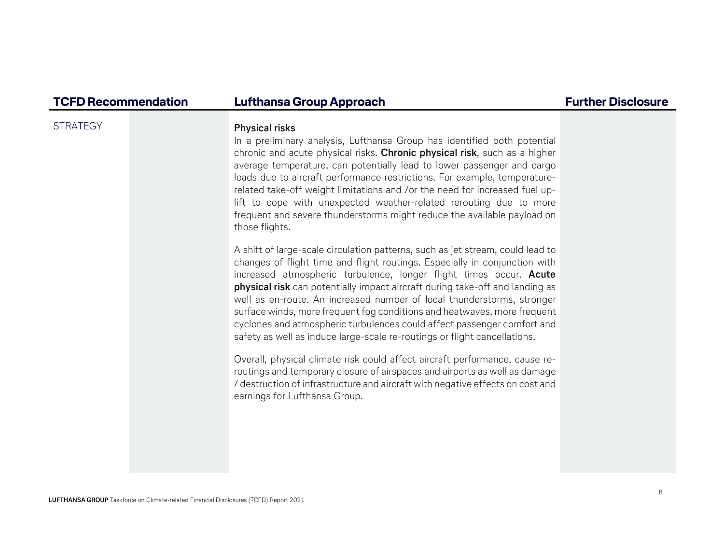### STRATEGY **Physical risks**

In a preliminary analysis, Lufthansa Group has identified both potential chronic and acute physical risks. Chronic physical risk, such as a higher average temperature, can potentially lead to lower passenger and cargo loads due to aircraft performance restrictions. For example, temperaturerelated take-off weight limitations and /or the need for increased fuel uplift to cope with unexpected weather-related rerouting due to more frequent and severe thunderstorms might reduce the available payload on those flights.

A shift of large-scale circulation patterns, such as jet stream, could lead to changes of flight time and flight routings. Especially in conjunction with increased atmospheric turbulence, longer flight times occur. Acute physical risk can potentially impact aircraft during take-off and landing as well as en-route. An increased number of local thunderstorms, stronger surface winds, more frequent fog conditions and heatwaves, more frequent cyclones and atmospheric turbulences could affect passenger comfort and safety as well as induce large-scale re-routings or flight cancellations.

Overall, physical climate risk could affect aircraft performance, cause reroutings and temporary closure of airspaces and airports as well as damage / destruction of infrastructure and aircraft with negative effects on cost and earnings for Lufthansa Group.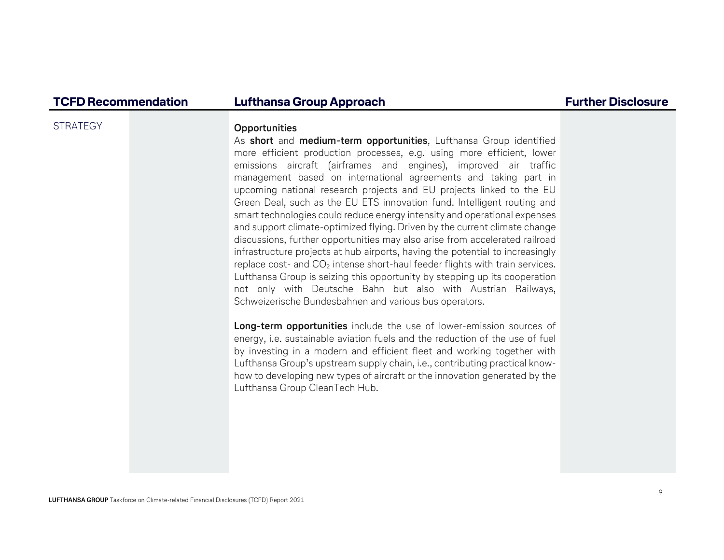### STRATEGY **Opportunities**

As short and medium-term opportunities, Lufthansa Group identified more efficient production processes, e.g. using more efficient, lower emissions aircraft (airframes and engines), improved air traffic management based on international agreements and taking part in upcoming national research projects and EU projects linked to the EU Green Deal, such as the EU ETS innovation fund. Intelligent routing and smart technologies could reduce energy intensity and operational expenses and support climate-optimized flying. Driven by the current climate change discussions, further opportunities may also arise from accelerated railroad infrastructure projects at hub airports, having the potential to increasingly replace cost- and  $CO<sub>2</sub>$  intense short-haul feeder flights with train services. Lufthansa Group is seizing this opportunity by stepping up its cooperation not only with Deutsche Bahn but also with Austrian Railways, Schweizerische Bundesbahnen and various bus operators.

Long-term opportunities include the use of lower-emission sources of energy, i.e. sustainable aviation fuels and the reduction of the use of fuel by investing in a modern and efficient fleet and working together with Lufthansa Group's upstream supply chain, i.e., contributing practical knowhow to developing new types of aircraft or the innovation generated by the Lufthansa Group CleanTech Hub.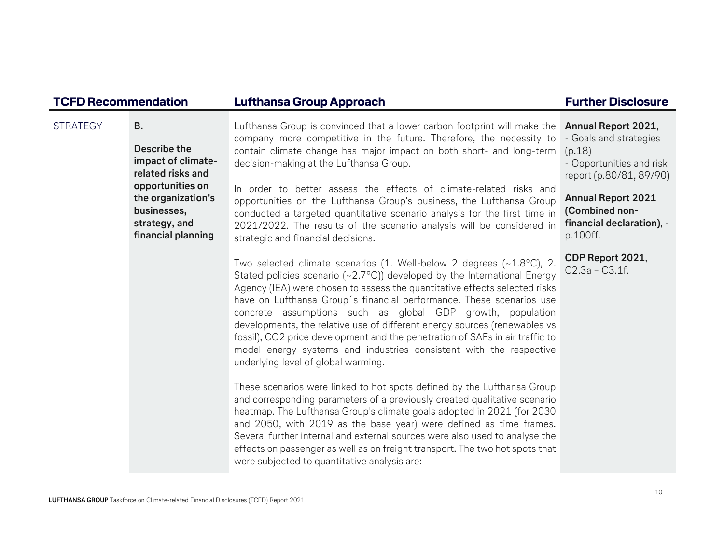| <b>TCFD Recommendation</b> |                                                                                              | Lufthansa Group Approach                                                                                                                                                                                                                                                                                                                                                                                                                                                                                                                                                                                                                       | <b>Further Disclosure</b>                                                                                      |
|----------------------------|----------------------------------------------------------------------------------------------|------------------------------------------------------------------------------------------------------------------------------------------------------------------------------------------------------------------------------------------------------------------------------------------------------------------------------------------------------------------------------------------------------------------------------------------------------------------------------------------------------------------------------------------------------------------------------------------------------------------------------------------------|----------------------------------------------------------------------------------------------------------------|
| <b>STRATEGY</b>            | <b>B.</b><br>Describe the<br>impact of climate-<br>related risks and                         | Lufthansa Group is convinced that a lower carbon footprint will make the<br>company more competitive in the future. Therefore, the necessity to<br>contain climate change has major impact on both short- and long-term<br>decision-making at the Lufthansa Group.                                                                                                                                                                                                                                                                                                                                                                             | Annual Report 2021,<br>- Goals and strategies<br>(p.18)<br>- Opportunities and risk<br>report (p.80/81, 89/90) |
|                            | opportunities on<br>the organization's<br>businesses,<br>strategy, and<br>financial planning | In order to better assess the effects of climate-related risks and<br>opportunities on the Lufthansa Group's business, the Lufthansa Group<br>conducted a targeted quantitative scenario analysis for the first time in<br>2021/2022. The results of the scenario analysis will be considered in<br>strategic and financial decisions.                                                                                                                                                                                                                                                                                                         | <b>Annual Report 2021</b><br>(Combined non-<br>financial declaration), -<br>p.100ff.                           |
|                            |                                                                                              | Two selected climate scenarios (1. Well-below 2 degrees (~1.8°C), 2.<br>Stated policies scenario (~2.7°C)) developed by the International Energy<br>Agency (IEA) were chosen to assess the quantitative effects selected risks<br>have on Lufthansa Group's financial performance. These scenarios use<br>concrete assumptions such as global GDP growth, population<br>developments, the relative use of different energy sources (renewables vs<br>fossil), CO2 price development and the penetration of SAFs in air traffic to<br>model energy systems and industries consistent with the respective<br>underlying level of global warming. | CDP Report 2021,<br>$C2.3a - C3.1f.$                                                                           |
|                            |                                                                                              | These scenarios were linked to hot spots defined by the Lufthansa Group<br>and corresponding parameters of a previously created qualitative scenario<br>heatmap. The Lufthansa Group's climate goals adopted in 2021 (for 2030<br>and 2050, with 2019 as the base year) were defined as time frames.<br>Several further internal and external sources were also used to analyse the<br>effects on passenger as well as on freight transport. The two hot spots that<br>were subjected to quantitative analysis are:                                                                                                                            |                                                                                                                |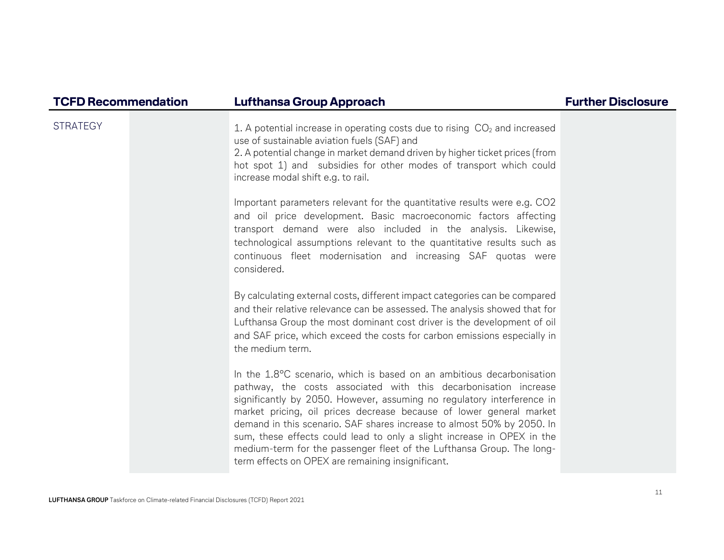| <b>TCFD Recommendation</b> | <b>Lufthansa Group Approach</b>                                                                                                                                                                                                                                                                                                                                                                                                                                                                                                                                              | <b>Further Disclosure</b> |
|----------------------------|------------------------------------------------------------------------------------------------------------------------------------------------------------------------------------------------------------------------------------------------------------------------------------------------------------------------------------------------------------------------------------------------------------------------------------------------------------------------------------------------------------------------------------------------------------------------------|---------------------------|
| <b>STRATEGY</b>            | 1. A potential increase in operating costs due to rising $CO2$ and increased<br>use of sustainable aviation fuels (SAF) and<br>2. A potential change in market demand driven by higher ticket prices (from<br>hot spot 1) and subsidies for other modes of transport which could<br>increase modal shift e.g. to rail.                                                                                                                                                                                                                                                       |                           |
|                            | Important parameters relevant for the quantitative results were e.g. CO2<br>and oil price development. Basic macroeconomic factors affecting<br>transport demand were also included in the analysis. Likewise,<br>technological assumptions relevant to the quantitative results such as<br>continuous fleet modernisation and increasing SAF quotas were<br>considered.                                                                                                                                                                                                     |                           |
|                            | By calculating external costs, different impact categories can be compared<br>and their relative relevance can be assessed. The analysis showed that for<br>Lufthansa Group the most dominant cost driver is the development of oil<br>and SAF price, which exceed the costs for carbon emissions especially in<br>the medium term.                                                                                                                                                                                                                                          |                           |
|                            | In the 1.8°C scenario, which is based on an ambitious decarbonisation<br>pathway, the costs associated with this decarbonisation increase<br>significantly by 2050. However, assuming no regulatory interference in<br>market pricing, oil prices decrease because of lower general market<br>demand in this scenario. SAF shares increase to almost 50% by 2050. In<br>sum, these effects could lead to only a slight increase in OPEX in the<br>medium-term for the passenger fleet of the Lufthansa Group. The long-<br>term effects on OPEX are remaining insignificant. |                           |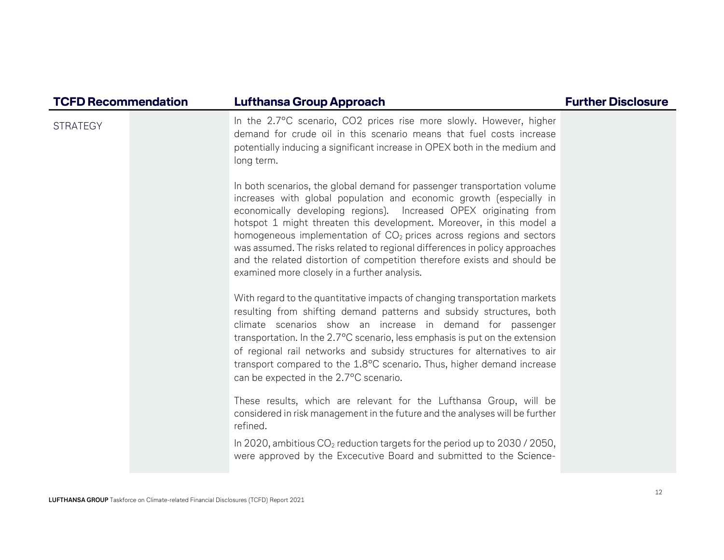| <b>TCFD Recommendation</b> | Lufthansa Group Approach                                                                                                                                                                                                                                                                                                                                                                                                                                                                                                                                                         | <b>Further Disclosure</b> |
|----------------------------|----------------------------------------------------------------------------------------------------------------------------------------------------------------------------------------------------------------------------------------------------------------------------------------------------------------------------------------------------------------------------------------------------------------------------------------------------------------------------------------------------------------------------------------------------------------------------------|---------------------------|
| <b>STRATEGY</b>            | In the 2.7°C scenario, CO2 prices rise more slowly. However, higher<br>demand for crude oil in this scenario means that fuel costs increase<br>potentially inducing a significant increase in OPEX both in the medium and<br>long term.                                                                                                                                                                                                                                                                                                                                          |                           |
|                            | In both scenarios, the global demand for passenger transportation volume<br>increases with global population and economic growth (especially in<br>economically developing regions). Increased OPEX originating from<br>hotspot 1 might threaten this development. Moreover, in this model a<br>homogeneous implementation of $CO2$ prices across regions and sectors<br>was assumed. The risks related to regional differences in policy approaches<br>and the related distortion of competition therefore exists and should be<br>examined more closely in a further analysis. |                           |
|                            | With regard to the quantitative impacts of changing transportation markets<br>resulting from shifting demand patterns and subsidy structures, both<br>climate scenarios show an increase in demand for passenger<br>transportation. In the 2.7°C scenario, less emphasis is put on the extension<br>of regional rail networks and subsidy structures for alternatives to air<br>transport compared to the 1.8°C scenario. Thus, higher demand increase<br>can be expected in the 2.7°C scenario.                                                                                 |                           |
|                            | These results, which are relevant for the Lufthansa Group, will be<br>considered in risk management in the future and the analyses will be further<br>refined.                                                                                                                                                                                                                                                                                                                                                                                                                   |                           |
|                            | In 2020, ambitious $CO2$ reduction targets for the period up to 2030 / 2050,<br>were approved by the Excecutive Board and submitted to the Science-                                                                                                                                                                                                                                                                                                                                                                                                                              |                           |

LUFTHANSA GROUP Taskforce on Climate-related Financial Disclosures (TCFD) Report 2021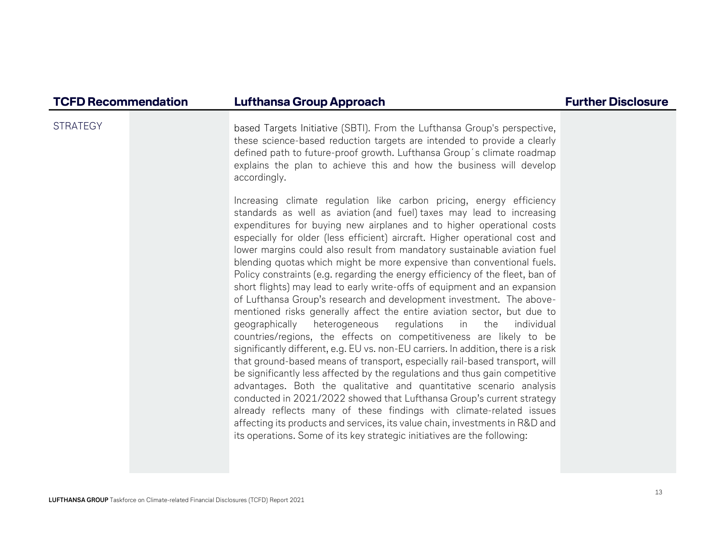STRATEGY based Targets Initiative (SBTI). From the Lufthansa Group's perspective, these science-based reduction targets are intended to provide a clearly defined path to future-proof growth. Lufthansa Group´s climate roadmap explains the plan to achieve this and how the business will develop accordingly.

> Increasing climate regulation like carbon pricing, energy efficiency standards as well as aviation (and fuel) taxes may lead to increasing expenditures for buying new airplanes and to higher operational costs especially for older (less efficient) aircraft. Higher operational cost and lower margins could also result from mandatory sustainable aviation fuel blending quotas which might be more expensive than conventional fuels. Policy constraints (e.g. regarding the energy efficiency of the fleet, ban of short flights) may lead to early write-offs of equipment and an expansion of Lufthansa Group's research and development investment. The abovementioned risks generally affect the entire aviation sector, but due to geographically heterogeneous regulations in the individual countries/regions, the effects on competitiveness are likely to be significantly different, e.g. EU vs. non-EU carriers. In addition, there is a risk that ground-based means of transport, especially rail-based transport, will be significantly less affected by the regulations and thus gain competitive advantages. Both the qualitative and quantitative scenario analysis conducted in 2021/2022 showed that Lufthansa Group's current strategy already reflects many of these findings with climate-related issues affecting its products and services, its value chain, investments in R&D and its operations. Some of its key strategic initiatives are the following: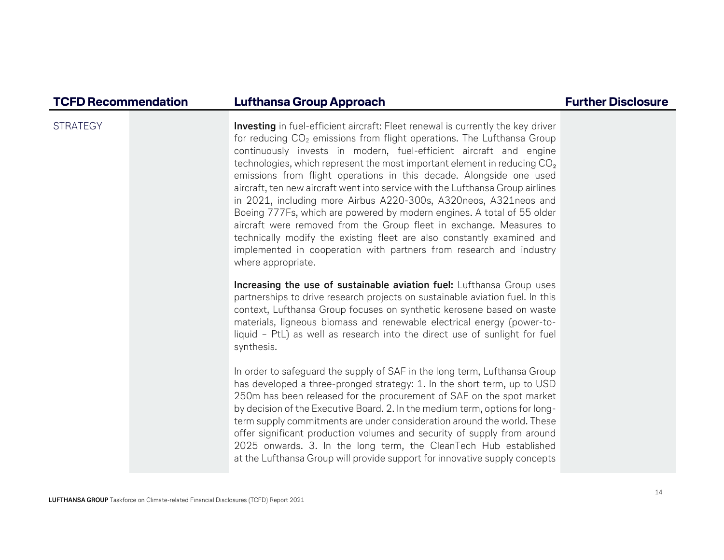STRATEGY **Investing** in fuel-efficient aircraft: Fleet renewal is currently the key driver for reducing  $CO<sub>2</sub>$  emissions from flight operations. The Lufthansa Group continuously invests in modern, fuel-efficient aircraft and engine technologies, which represent the most important element in reducing  $\mathrm{CO}_2$ emissions from flight operations in this decade. Alongside one used aircraft, ten new aircraft went into service with the Lufthansa Group airlines in 2021, including more Airbus A220-300s, A320neos, A321neos and Boeing 777Fs, which are powered by modern engines. A total of 55 older aircraft were removed from the Group fleet in exchange. Measures to technically modify the existing fleet are also constantly examined and implemented in cooperation with partners from research and industry where appropriate.

> Increasing the use of sustainable aviation fuel: Lufthansa Group uses partnerships to drive research projects on sustainable aviation fuel. In this context, Lufthansa Group focuses on synthetic kerosene based on waste materials, ligneous biomass and renewable electrical energy (power-toliquid – PtL) as well as research into the direct use of sunlight for fuel synthesis.

> In order to safeguard the supply of SAF in the long term, Lufthansa Group has developed a three-pronged strategy: 1. In the short term, up to USD 250m has been released for the procurement of SAF on the spot market by decision of the Executive Board. 2. In the medium term, options for longterm supply commitments are under consideration around the world. These offer significant production volumes and security of supply from around 2025 onwards. 3. In the long term, the CleanTech Hub establishedat the Lufthansa Group will provide support for innovative supply concepts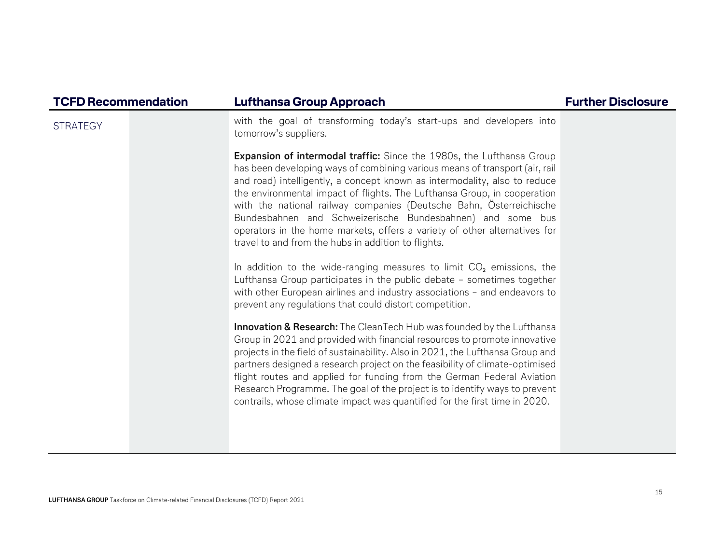| <b>TCFD Recommendation</b> | <b>Lufthansa Group Approach</b>                                                                                                                                                                                                                                                                                                                                                                                                                                                                                                                                                               | <b>Further Disclosure</b> |
|----------------------------|-----------------------------------------------------------------------------------------------------------------------------------------------------------------------------------------------------------------------------------------------------------------------------------------------------------------------------------------------------------------------------------------------------------------------------------------------------------------------------------------------------------------------------------------------------------------------------------------------|---------------------------|
| <b>STRATEGY</b>            | with the goal of transforming today's start-ups and developers into<br>tomorrow's suppliers.                                                                                                                                                                                                                                                                                                                                                                                                                                                                                                  |                           |
|                            | <b>Expansion of intermodal traffic:</b> Since the 1980s, the Lufthansa Group<br>has been developing ways of combining various means of transport (air, rail<br>and road) intelligently, a concept known as intermodality, also to reduce<br>the environmental impact of flights. The Lufthansa Group, in cooperation<br>with the national railway companies (Deutsche Bahn, Österreichische<br>Bundesbahnen and Schweizerische Bundesbahnen) and some bus<br>operators in the home markets, offers a variety of other alternatives for<br>travel to and from the hubs in addition to flights. |                           |
|                            | In addition to the wide-ranging measures to limit $CO2$ emissions, the<br>Lufthansa Group participates in the public debate - sometimes together<br>with other European airlines and industry associations - and endeavors to<br>prevent any regulations that could distort competition.                                                                                                                                                                                                                                                                                                      |                           |
|                            | Innovation & Research: The CleanTech Hub was founded by the Lufthansa<br>Group in 2021 and provided with financial resources to promote innovative<br>projects in the field of sustainability. Also in 2021, the Lufthansa Group and<br>partners designed a research project on the feasibility of climate-optimised<br>flight routes and applied for funding from the German Federal Aviation<br>Research Programme. The goal of the project is to identify ways to prevent<br>contrails, whose climate impact was quantified for the first time in 2020.                                    |                           |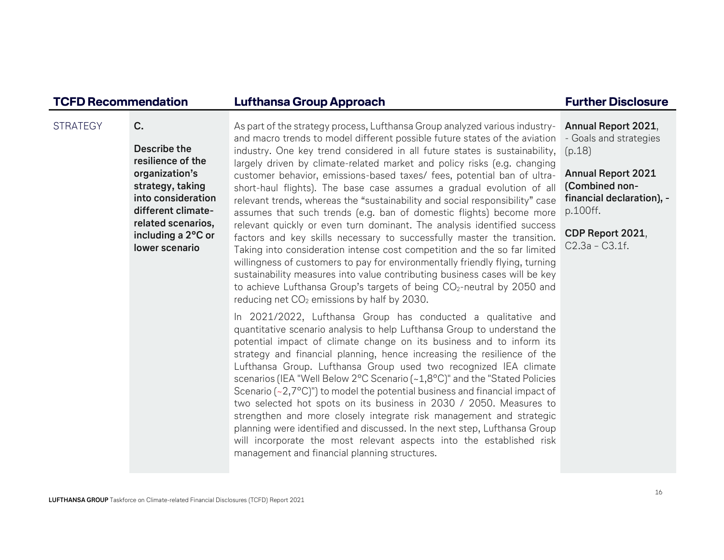### STRATEGY **C.** Describe the resilience of the organization's strategy, taking into consideration different climaterelated scenarios, including a 2°C or lower scenarioAs part of the strategy process, Lufthansa Group analyzed various industryand macro trends to model different possible future states of the aviation industry. One key trend considered in all future states is sustainability, largely driven by climate-related market and policy risks (e.g. changing customer behavior, emissions-based taxes/ fees, potential ban of ultrashort-haul flights). The base case assumes a gradual evolution of all relevant trends, whereas the "sustainability and social responsibility" case assumes that such trends (e.g. ban of domestic flights) become more relevant quickly or even turn dominant. The analysis identified success factors and key skills necessary to successfully master the transition. Taking into consideration intense cost competition and the so far limited willingness of customers to pay for environmentally friendly flying, turning sustainability measures into value contributing business cases will be key to achieve Lufthansa Group's targets of being CO<sub>2</sub>-neutral by 2050 and reducing net  $CO<sub>2</sub>$  emissions by half by 2030. In 2021/2022, Lufthansa Group has conducted a qualitative and quantitative scenario analysis to help Lufthansa Group to understand the potential impact of climate change on its business and to inform its strategy and financial planning, hence increasing the resilience of the Lufthansa Group. Lufthansa Group used two recognized IEA climate scenarios (IEA "Well Below 2°C Scenario (~1,8°C)" and the "Stated Policies Scenario (~2,7 $^{\circ}$ C)") to model the potential business and financial impact of two selected hot spots on its business in 2030 / 2050. Measures to strengthen and more closely integrate risk management and strategic planning were identified and discussed. In the next step, Lufthansa Group will incorporate the most relevant aspects into the established risk management and financial planning structures. Annual Report 2021, - Goals and strategies (p.18) Annual Report 2021 (Combined nonfinancial declaration), p.100ff. CDP Report 2021, C2.3a – C3.1f.

### TCFD Recommendation Lufthansa Group Approach **Fundation** Further Disclosure

### LUFTHANSA GROUP Taskforce on Climate-related Financial Disclosures (TCFD) Report 2021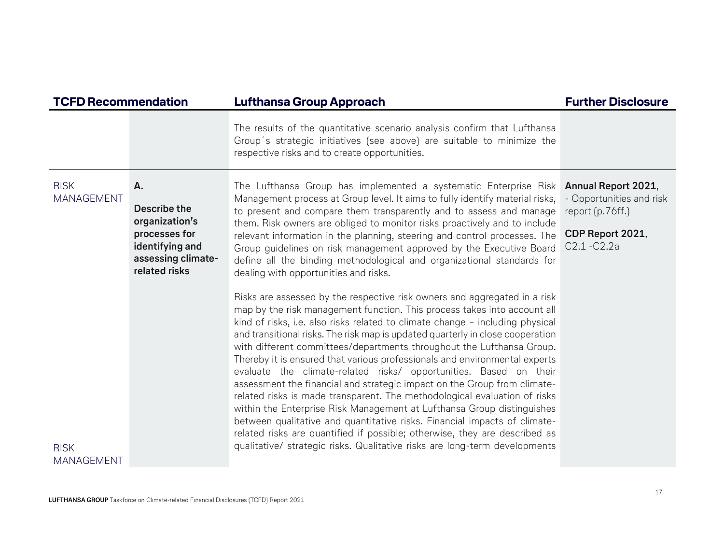| <b>TCFD Recommendation</b>                      |                                                                                                                 | <b>Lufthansa Group Approach</b>                                                                                                                                                                                                                                                                                                                                                                                                                                                                                                                                                                                                                                                                                                                                                                                                                                                                                                                                                                                                                                                                                                                                                                                                                                                                                                                                                                                                                                                                                                                                                                                                    | <b>Further Disclosure</b>                                                          |
|-------------------------------------------------|-----------------------------------------------------------------------------------------------------------------|------------------------------------------------------------------------------------------------------------------------------------------------------------------------------------------------------------------------------------------------------------------------------------------------------------------------------------------------------------------------------------------------------------------------------------------------------------------------------------------------------------------------------------------------------------------------------------------------------------------------------------------------------------------------------------------------------------------------------------------------------------------------------------------------------------------------------------------------------------------------------------------------------------------------------------------------------------------------------------------------------------------------------------------------------------------------------------------------------------------------------------------------------------------------------------------------------------------------------------------------------------------------------------------------------------------------------------------------------------------------------------------------------------------------------------------------------------------------------------------------------------------------------------------------------------------------------------------------------------------------------------|------------------------------------------------------------------------------------|
|                                                 |                                                                                                                 | The results of the quantitative scenario analysis confirm that Lufthansa<br>Group's strategic initiatives (see above) are suitable to minimize the<br>respective risks and to create opportunities.                                                                                                                                                                                                                                                                                                                                                                                                                                                                                                                                                                                                                                                                                                                                                                                                                                                                                                                                                                                                                                                                                                                                                                                                                                                                                                                                                                                                                                |                                                                                    |
| <b>RISK</b><br><b>MANAGEMENT</b><br><b>RISK</b> | Α.<br>Describe the<br>organization's<br>processes for<br>identifying and<br>assessing climate-<br>related risks | The Lufthansa Group has implemented a systematic Enterprise Risk Annual Report 2021,<br>Management process at Group level. It aims to fully identify material risks,<br>to present and compare them transparently and to assess and manage<br>them. Risk owners are obliged to monitor risks proactively and to include<br>relevant information in the planning, steering and control processes. The<br>Group guidelines on risk management approved by the Executive Board<br>define all the binding methodological and organizational standards for<br>dealing with opportunities and risks.<br>Risks are assessed by the respective risk owners and aggregated in a risk<br>map by the risk management function. This process takes into account all<br>kind of risks, i.e. also risks related to climate change - including physical<br>and transitional risks. The risk map is updated quarterly in close cooperation<br>with different committees/departments throughout the Lufthansa Group.<br>Thereby it is ensured that various professionals and environmental experts<br>evaluate the climate-related risks/ opportunities. Based on their<br>assessment the financial and strategic impact on the Group from climate-<br>related risks is made transparent. The methodological evaluation of risks<br>within the Enterprise Risk Management at Lufthansa Group distinguishes<br>between qualitative and quantitative risks. Financial impacts of climate-<br>related risks are quantified if possible; otherwise, they are described as<br>qualitative/ strategic risks. Qualitative risks are long-term developments | - Opportunities and risk<br>report (p.76ff.)<br>CDP Report 2021,<br>$C2.1 - C2.2a$ |
| <b>MANAGEMENT</b>                               |                                                                                                                 |                                                                                                                                                                                                                                                                                                                                                                                                                                                                                                                                                                                                                                                                                                                                                                                                                                                                                                                                                                                                                                                                                                                                                                                                                                                                                                                                                                                                                                                                                                                                                                                                                                    |                                                                                    |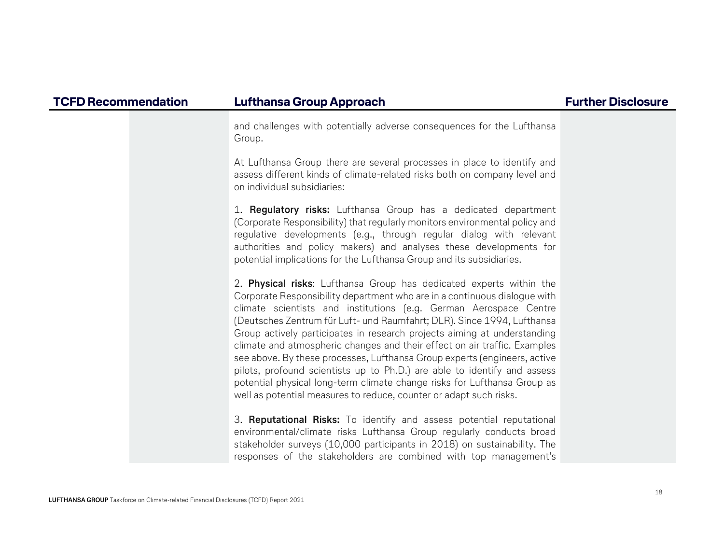and challenges with potentially adverse consequences for the Lufthansa Group.

At Lufthansa Group there are several processes in place to identify and assess different kinds of climate-related risks both on company level and on individual subsidiaries:

1. **Regulatory risks:** Lufthansa Group has a dedicated department (Corporate Responsibility) that regularly monitors environmental policy and regulative developments (e.g., through regular dialog with relevant authorities and policy makers) and analyses these developments for potential implications for the Lufthansa Group and its subsidiaries.

2. Physical risks: Lufthansa Group has dedicated experts within the Corporate Responsibility department who are in a continuous dialogue with climate scientists and institutions (e.g. German Aerospace Centre (Deutsches Zentrum für Luft- und Raumfahrt; DLR). Since 1994, Lufthansa Group actively participates in research projects aiming at understanding climate and atmospheric changes and their effect on air traffic. Examples see above. By these processes, Lufthansa Group experts (engineers, active pilots, profound scientists up to Ph.D.) are able to identify and assess potential physical long-term climate change risks for Lufthansa Group as well as potential measures to reduce, counter or adapt such risks.

3. Reputational Risks: To identify and assess potential reputational environmental/climate risks Lufthansa Group regularly conducts broad stakeholder surveys (10,000 participants in 2018) on sustainability. The responses of the stakeholders are combined with top management's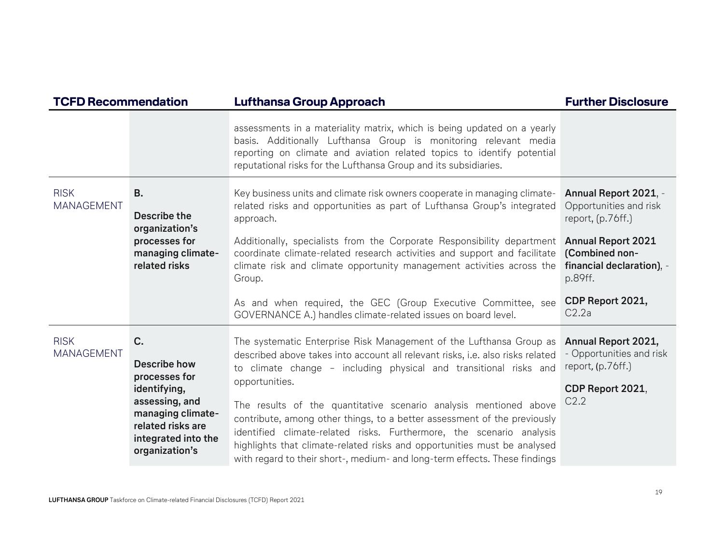| <b>TCFD Recommendation</b>       |                                                                                                                                                          | <b>Lufthansa Group Approach</b>                                                                                                                                                                                                                                                                                                                                                                                                                                                                                                                                                                                                 | <b>Further Disclosure</b>                                                                                             |
|----------------------------------|----------------------------------------------------------------------------------------------------------------------------------------------------------|---------------------------------------------------------------------------------------------------------------------------------------------------------------------------------------------------------------------------------------------------------------------------------------------------------------------------------------------------------------------------------------------------------------------------------------------------------------------------------------------------------------------------------------------------------------------------------------------------------------------------------|-----------------------------------------------------------------------------------------------------------------------|
|                                  |                                                                                                                                                          | assessments in a materiality matrix, which is being updated on a yearly<br>basis. Additionally Lufthansa Group is monitoring relevant media<br>reporting on climate and aviation related topics to identify potential<br>reputational risks for the Lufthansa Group and its subsidiaries.                                                                                                                                                                                                                                                                                                                                       |                                                                                                                       |
| <b>RISK</b><br><b>MANAGEMENT</b> | <b>B.</b><br>Describe the<br>organization's<br>processes for<br>managing climate-                                                                        | Key business units and climate risk owners cooperate in managing climate-<br>related risks and opportunities as part of Lufthansa Group's integrated<br>approach.<br>Additionally, specialists from the Corporate Responsibility department<br>coordinate climate-related research activities and support and facilitate                                                                                                                                                                                                                                                                                                        | Annual Report 2021, -<br>Opportunities and risk<br>report, $(p.76ff.)$<br><b>Annual Report 2021</b><br>(Combined non- |
|                                  | related risks                                                                                                                                            | climate risk and climate opportunity management activities across the<br>Group.<br>As and when required, the GEC (Group Executive Committee, see<br>GOVERNANCE A.) handles climate-related issues on board level.                                                                                                                                                                                                                                                                                                                                                                                                               | financial declaration), -<br>p.89ff.<br>CDP Report 2021,<br>C2.2a                                                     |
| <b>RISK</b><br><b>MANAGEMENT</b> | C.<br>Describe how<br>processes for<br>identifying,<br>assessing, and<br>managing climate-<br>related risks are<br>integrated into the<br>organization's | The systematic Enterprise Risk Management of the Lufthansa Group as<br>described above takes into account all relevant risks, i.e. also risks related<br>to climate change - including physical and transitional risks and<br>opportunities.<br>The results of the quantitative scenario analysis mentioned above<br>contribute, among other things, to a better assessment of the previously<br>identified climate-related risks. Furthermore, the scenario analysis<br>highlights that climate-related risks and opportunities must be analysed<br>with regard to their short-, medium- and long-term effects. These findings | Annual Report 2021,<br>- Opportunities and risk<br>report, (p.76ff.)<br>CDP Report 2021,<br>C2.2                      |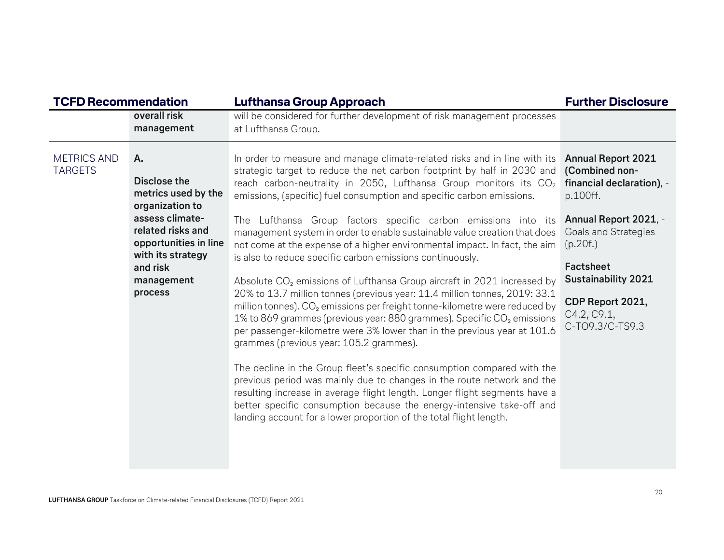| <b>TCFD Recommendation</b>           |                                                                                                                                                                                         | <b>Lufthansa Group Approach</b>                                                                                                                                                                                                                                                                                                                                                                                                                                                                                                                                                                                                                                                                                                                                                                                                                                                                                                                                                                                                                                                                                                                                                                                                                                                                                                                                                                                                                                        | <b>Further Disclosure</b>                                                                                                                                                                                                                                 |  |
|--------------------------------------|-----------------------------------------------------------------------------------------------------------------------------------------------------------------------------------------|------------------------------------------------------------------------------------------------------------------------------------------------------------------------------------------------------------------------------------------------------------------------------------------------------------------------------------------------------------------------------------------------------------------------------------------------------------------------------------------------------------------------------------------------------------------------------------------------------------------------------------------------------------------------------------------------------------------------------------------------------------------------------------------------------------------------------------------------------------------------------------------------------------------------------------------------------------------------------------------------------------------------------------------------------------------------------------------------------------------------------------------------------------------------------------------------------------------------------------------------------------------------------------------------------------------------------------------------------------------------------------------------------------------------------------------------------------------------|-----------------------------------------------------------------------------------------------------------------------------------------------------------------------------------------------------------------------------------------------------------|--|
|                                      | overall risk<br>management                                                                                                                                                              | will be considered for further development of risk management processes<br>at Lufthansa Group.                                                                                                                                                                                                                                                                                                                                                                                                                                                                                                                                                                                                                                                                                                                                                                                                                                                                                                                                                                                                                                                                                                                                                                                                                                                                                                                                                                         |                                                                                                                                                                                                                                                           |  |
| <b>METRICS AND</b><br><b>TARGETS</b> | Α.<br>Disclose the<br>metrics used by the<br>organization to<br>assess climate-<br>related risks and<br>opportunities in line<br>with its strategy<br>and risk<br>management<br>process | In order to measure and manage climate-related risks and in line with its<br>strategic target to reduce the net carbon footprint by half in 2030 and<br>reach carbon-neutrality in 2050, Lufthansa Group monitors its CO <sub>2</sub><br>emissions, (specific) fuel consumption and specific carbon emissions.<br>The Lufthansa Group factors specific carbon emissions into its<br>management system in order to enable sustainable value creation that does<br>not come at the expense of a higher environmental impact. In fact, the aim<br>is also to reduce specific carbon emissions continuously.<br>Absolute CO <sub>2</sub> emissions of Lufthansa Group aircraft in 2021 increased by<br>20% to 13.7 million tonnes (previous year: 11.4 million tonnes, 2019: 33.1<br>million tonnes). CO <sub>2</sub> emissions per freight tonne-kilometre were reduced by<br>1% to 869 grammes (previous year: 880 grammes). Specific CO <sub>2</sub> emissions<br>per passenger-kilometre were 3% lower than in the previous year at 101.6<br>grammes (previous year: 105.2 grammes).<br>The decline in the Group fleet's specific consumption compared with the<br>previous period was mainly due to changes in the route network and the<br>resulting increase in average flight length. Longer flight segments have a<br>better specific consumption because the energy-intensive take-off and<br>landing account for a lower proportion of the total flight length. | <b>Annual Report 2021</b><br>(Combined non-<br>financial declaration), -<br>p.100ff.<br>Annual Report 2021, -<br><b>Goals and Strategies</b><br>(p.20f.)<br>Factsheet<br><b>Sustainability 2021</b><br>CDP Report 2021,<br>C4.2, C9.1,<br>C-TO9.3/C-TS9.3 |  |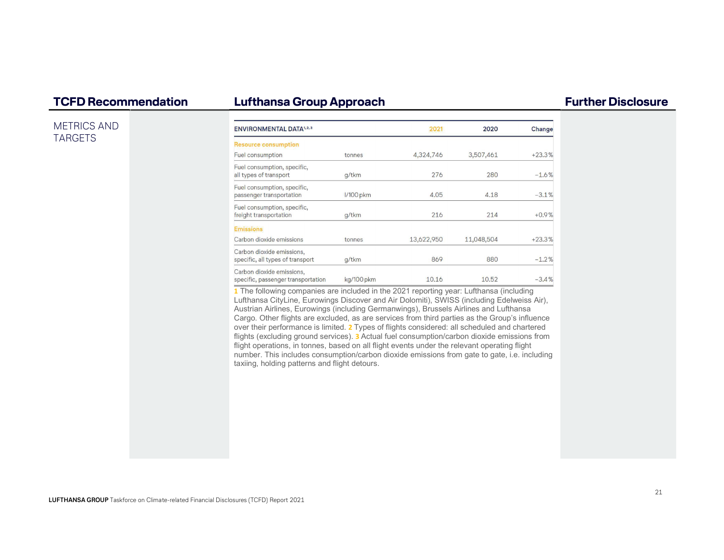### METRICS AND TARGETS

| <b>ENVIRONMENTAL DATA1,2,3</b>                                  |                  | 2021       | 2020       | Change   |
|-----------------------------------------------------------------|------------------|------------|------------|----------|
| <b>Resource consumption</b>                                     |                  |            |            |          |
| Fuel consumption                                                | tonnes           | 4,324,746  | 3,507,461  | $+23.3%$ |
| Fuel consumption, specific,<br>all types of transport           | g/tkm            | 276        | 280        | $-1.6%$  |
| Fuel consumption, specific,<br>passenger transportation         | <b>I/100</b> pkm | 4.05       | 4.18       | $-3.1%$  |
| Fuel consumption, specific,<br>freight transportation           | g/tkm            | 216        | 214        | $+0.9%$  |
| <b>Emissions</b>                                                |                  |            |            |          |
| Carbon dioxide emissions                                        | tonnes           | 13,622,950 | 11,048,504 | $+23.3%$ |
| Carbon dioxide emissions,<br>specific, all types of transport   | q/tkm            | 869        | 880        | $-1.2%$  |
| Carbon dioxide emissions,<br>specific, passenger transportation | kg/100 pkm       | 10.16      | 10.52      | $-3.4%$  |

1 The following companies are included in the 2021 reporting year: Lufthansa (including Lufthansa CityLine, Eurowings Discover and Air Dolomiti), SWISS (including Edelweiss Air), Austrian Airlines, Eurowings (including Germanwings), Brussels Airlines and Lufthansa Cargo. Other flights are excluded, as are services from third parties as the Group's influence over their performance is limited. 2 Types of flights considered: all scheduled and chartered flights (excluding ground services). 3 Actual fuel consumption/carbon dioxide emissions from flight operations, in tonnes, based on all flight events under the relevant operating flight number. This includes consumption/carbon dioxide emissions from gate to gate, i.e. including taxiing, holding patterns and flight detours.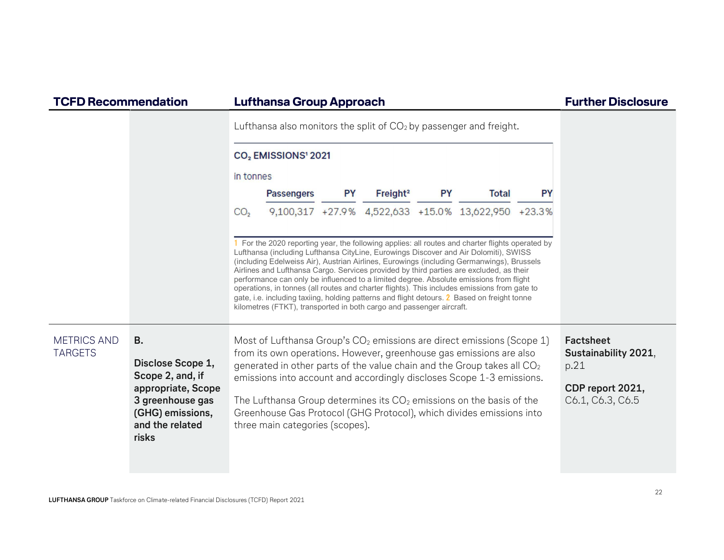|                                      |                                                                                                                                              |                 |                                                                                                                                                                                                                                                                                                                                                                                                                                                                                                                                                                                                                                                                                                                                                   |           |                      |           | Lufthansa also monitors the split of $CO2$ by passenger and freight.                                                                                                                                                                                                                                                                                                                                                                                              |           |                                                                                   |
|--------------------------------------|----------------------------------------------------------------------------------------------------------------------------------------------|-----------------|---------------------------------------------------------------------------------------------------------------------------------------------------------------------------------------------------------------------------------------------------------------------------------------------------------------------------------------------------------------------------------------------------------------------------------------------------------------------------------------------------------------------------------------------------------------------------------------------------------------------------------------------------------------------------------------------------------------------------------------------------|-----------|----------------------|-----------|-------------------------------------------------------------------------------------------------------------------------------------------------------------------------------------------------------------------------------------------------------------------------------------------------------------------------------------------------------------------------------------------------------------------------------------------------------------------|-----------|-----------------------------------------------------------------------------------|
|                                      |                                                                                                                                              |                 | CO <sub>2</sub> EMISSIONS <sup>1</sup> 2021                                                                                                                                                                                                                                                                                                                                                                                                                                                                                                                                                                                                                                                                                                       |           |                      |           |                                                                                                                                                                                                                                                                                                                                                                                                                                                                   |           |                                                                                   |
|                                      |                                                                                                                                              | in tonnes       |                                                                                                                                                                                                                                                                                                                                                                                                                                                                                                                                                                                                                                                                                                                                                   |           |                      |           |                                                                                                                                                                                                                                                                                                                                                                                                                                                                   |           |                                                                                   |
|                                      |                                                                                                                                              |                 | <b>Passengers</b>                                                                                                                                                                                                                                                                                                                                                                                                                                                                                                                                                                                                                                                                                                                                 | <b>PY</b> | Freight <sup>2</sup> | <b>PY</b> | <b>Total</b>                                                                                                                                                                                                                                                                                                                                                                                                                                                      | <b>PY</b> |                                                                                   |
|                                      |                                                                                                                                              | CO <sub>2</sub> |                                                                                                                                                                                                                                                                                                                                                                                                                                                                                                                                                                                                                                                                                                                                                   |           |                      |           | 9,100,317 +27.9% 4,522,633 +15.0% 13,622,950 +23.3%                                                                                                                                                                                                                                                                                                                                                                                                               |           |                                                                                   |
|                                      |                                                                                                                                              |                 | 1 For the 2020 reporting year, the following applies: all routes and charter flights operated by<br>Lufthansa (including Lufthansa CityLine, Eurowings Discover and Air Dolomiti), SWISS<br>(including Edelweiss Air), Austrian Airlines, Eurowings (including Germanwings), Brussels<br>Airlines and Lufthansa Cargo. Services provided by third parties are excluded, as their<br>performance can only be influenced to a limited degree. Absolute emissions from flight<br>operations, in tonnes (all routes and charter flights). This includes emissions from gate to<br>gate, i.e. including taxiing, holding patterns and flight detours. 2 Based on freight tonne<br>kilometres (FTKT), transported in both cargo and passenger aircraft. |           |                      |           |                                                                                                                                                                                                                                                                                                                                                                                                                                                                   |           |                                                                                   |
| <b>METRICS AND</b><br><b>TARGETS</b> | <b>B.</b><br>Disclose Scope 1,<br>Scope 2, and, if<br>appropriate, Scope<br>3 greenhouse gas<br>(GHG) emissions,<br>and the related<br>risks |                 | three main categories (scopes).                                                                                                                                                                                                                                                                                                                                                                                                                                                                                                                                                                                                                                                                                                                   |           |                      |           | Most of Lufthansa Group's CO <sub>2</sub> emissions are direct emissions (Scope 1)<br>from its own operations. However, greenhouse gas emissions are also<br>generated in other parts of the value chain and the Group takes all $CO2$<br>emissions into account and accordingly discloses Scope 1-3 emissions.<br>The Lufthansa Group determines its $CO2$ emissions on the basis of the<br>Greenhouse Gas Protocol (GHG Protocol), which divides emissions into |           | Factsheet<br>Sustainability 2021,<br>p.21<br>CDP report 2021,<br>C6.1, C6.3, C6.5 |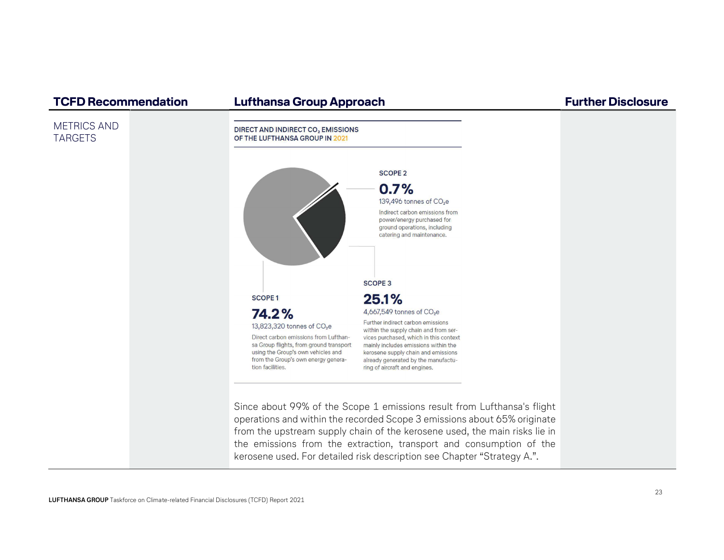**DIRECT AND INDIRECT CO, EMISSIONS** 

### METRICS AND TARGETS



 operations and within the recorded Scope 3 emissions about 65% originate from the upstream supply chain of the kerosene used, the main risks lie in the emissions from the extraction, transport and consumption of the kerosene used. For detailed risk description see Chapter "Strategy A.".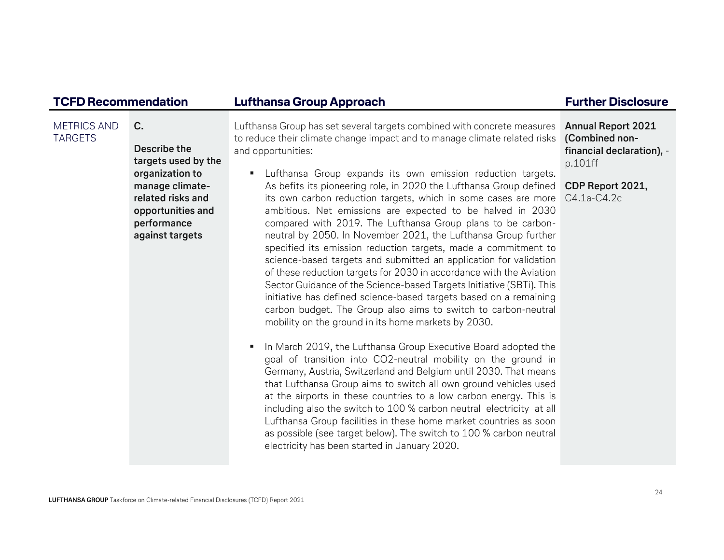### METRICS AND TARGETS C.Describe the targets used by the organization to manage climaterelated risks and opportunities and performance against targets Lufthansa Group has set several targets combined with concrete measures to reduce their climate change impact and to manage climate related risks and opportunities: ß Lufthansa Group expands its own emission reduction targets. As befits its pioneering role, in 2020 the Lufthansa Group defined its own carbon reduction targets, which in some cases are more ambitious. Net emissions are expected to be halved in 2030 compared with 2019. The Lufthansa Group plans to be carbonneutral by 2050. In November 2021, the Lufthansa Group further specified its emission reduction targets, made a commitment to science-based targets and submitted an application for validation of these reduction targets for 2030 in accordance with the Aviation Sector Guidance of the Science-based Targets Initiative (SBTi). This initiative has defined science-based targets based on a remaining carbon budget. The Group also aims to switch to carbon-neutral mobility on the ground in its home markets by 2030.  $\blacksquare$  In March 2019, the Lufthansa Group Executive Board adopted the goal of transition into CO2-neutral mobility on the ground in Germany, Austria, Switzerland and Belgium until 2030. That means that Lufthansa Group aims to switch all own ground vehicles used at the airports in these countries to a low carbon energy. This is including also the switch to 100 % carbon neutral electricity at all Lufthansa Group facilities in these home market countries as soon as possible (see target below). The switch to 100 % carbon neutral Annual Report 2021 (Combined nonfinancial declaration), p.101ff CDP Report 2021,C4.1a-C4.2c

electricity has been started in January 2020.

TCFD Recommendation Lufthansa Group Approach **Fundation** Further Disclosure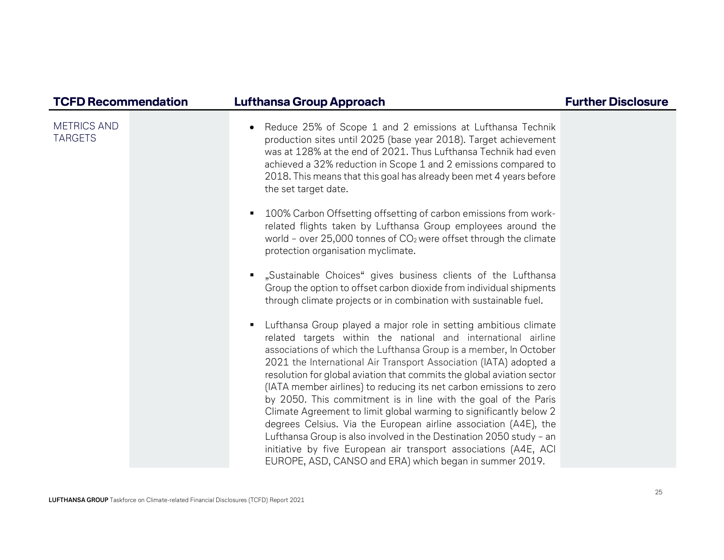| <b>TCFD Recommendation</b>           | <b>Lufthansa Group Approach</b>                                                                                                                                                                                                                                                                                                                                                                                                                                                                                                                                                                                                                                                                                                                                                                                                                     | <b>Further Disclosure</b> |
|--------------------------------------|-----------------------------------------------------------------------------------------------------------------------------------------------------------------------------------------------------------------------------------------------------------------------------------------------------------------------------------------------------------------------------------------------------------------------------------------------------------------------------------------------------------------------------------------------------------------------------------------------------------------------------------------------------------------------------------------------------------------------------------------------------------------------------------------------------------------------------------------------------|---------------------------|
| <b>METRICS AND</b><br><b>TARGETS</b> | Reduce 25% of Scope 1 and 2 emissions at Lufthansa Technik<br>$\bullet$<br>production sites until 2025 (base year 2018). Target achievement<br>was at 128% at the end of 2021. Thus Lufthansa Technik had even<br>achieved a 32% reduction in Scope 1 and 2 emissions compared to<br>2018. This means that this goal has already been met 4 years before<br>the set target date.                                                                                                                                                                                                                                                                                                                                                                                                                                                                    |                           |
|                                      | 100% Carbon Offsetting offsetting of carbon emissions from work-<br>٠<br>related flights taken by Lufthansa Group employees around the<br>world - over $25,000$ tonnes of $CO2$ were offset through the climate<br>protection organisation myclimate.                                                                                                                                                                                                                                                                                                                                                                                                                                                                                                                                                                                               |                           |
|                                      | "Sustainable Choices" gives business clients of the Lufthansa<br>$\blacksquare$<br>Group the option to offset carbon dioxide from individual shipments<br>through climate projects or in combination with sustainable fuel.                                                                                                                                                                                                                                                                                                                                                                                                                                                                                                                                                                                                                         |                           |
|                                      | Lufthansa Group played a major role in setting ambitious climate<br>٠<br>related targets within the national and international airline<br>associations of which the Lufthansa Group is a member, In October<br>2021 the International Air Transport Association (IATA) adopted a<br>resolution for global aviation that commits the global aviation sector<br>(IATA member airlines) to reducing its net carbon emissions to zero<br>by 2050. This commitment is in line with the goal of the Paris<br>Climate Agreement to limit global warming to significantly below 2<br>degrees Celsius. Via the European airline association (A4E), the<br>Lufthansa Group is also involved in the Destination 2050 study - an<br>initiative by five European air transport associations (A4E, ACI<br>EUROPE, ASD, CANSO and ERA) which began in summer 2019. |                           |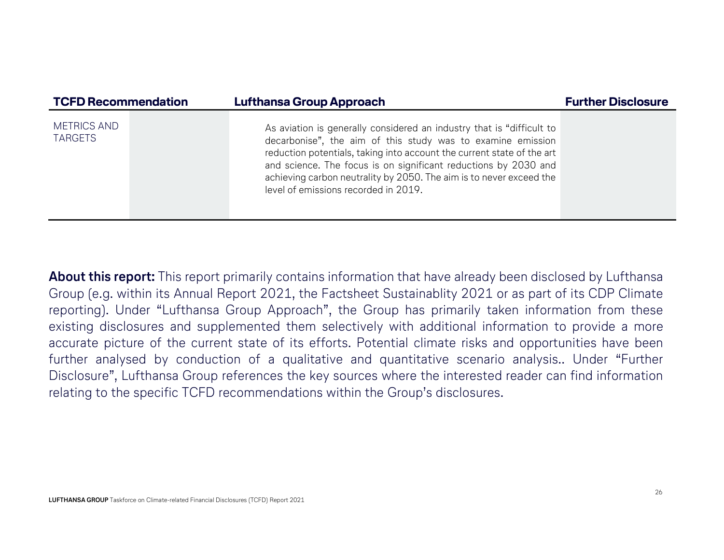| <b>TCFD Recommendation</b>           |  | <b>Lufthansa Group Approach</b>                                                                                                                                                                                                                                                                                                                                                                  | <b>Further Disclosure</b> |
|--------------------------------------|--|--------------------------------------------------------------------------------------------------------------------------------------------------------------------------------------------------------------------------------------------------------------------------------------------------------------------------------------------------------------------------------------------------|---------------------------|
| <b>METRICS AND</b><br><b>TARGETS</b> |  | As aviation is generally considered an industry that is "difficult to<br>decarbonise", the aim of this study was to examine emission<br>reduction potentials, taking into account the current state of the art<br>and science. The focus is on significant reductions by 2030 and<br>achieving carbon neutrality by 2050. The aim is to never exceed the<br>level of emissions recorded in 2019. |                           |

About this report: This report primarily contains information that have already been disclosed by Lufthansa Group (e.g. within its Annual Report 2021, the Factsheet Sustainablity 2021 or as part of its CDP Climate reporting). Under "Lufthansa Group Approach", the Group has primarily taken information from these existing disclosures and supplemented them selectively with additional information to provide a more accurate picture of the current state of its efforts. Potential climate risks and opportunities have been further analysed by conduction of a qualitative and quantitative scenario analysis.. Under "Further Disclosure", Lufthansa Group references the key sources where the interested reader can find information relating to the specific TCFD recommendations within the Group's disclosures.